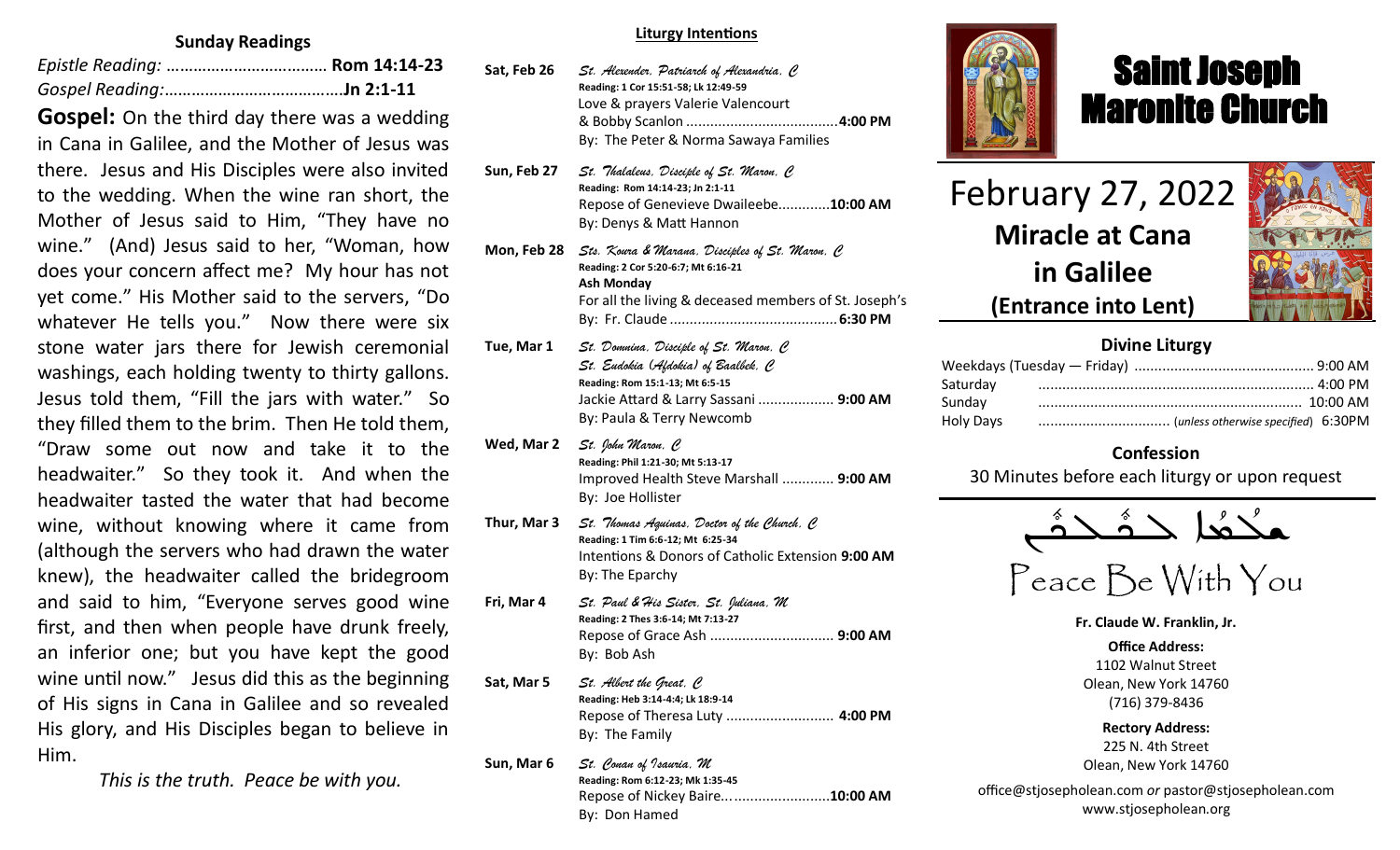#### **Sunday Readings**

**Gospel:** On the third day there was a wedding in Cana in Galilee, and the Mother of Jesus was there. Jesus and His Disciples were also invited to the wedding. When the wine ran short, the Mother of Jesus said to Him, "They have no wine." (And) Jesus said to her, "Woman, how does your concern affect me? My hour has not yet come." His Mother said to the servers, "Do whatever He tells you." Now there were six stone water jars there for Jewish ceremonial washings, each holding twenty to thirty gallons. Jesus told them, "Fill the jars with water." So they filled them to the brim. Then He told them, "Draw some out now and take it to the headwaiter." So they took it. And when the headwaiter tasted the water that had become wine, without knowing where it came from (although the servers who had drawn the water knew), the headwaiter called the bridegroom and said to him, "Everyone serves good wine first, and then when people have drunk freely, an inferior one; but you have kept the good wine until now." Jesus did this as the beginning of His signs in Cana in Galilee and so revealed His glory, and His Disciples began to believe in Him.

 *This is the truth. Peace be with you.*

#### **Liturgy Intentions**

- **Sat, Feb 26** *St. Alexender, Patriarch of Alexandria, C* **Reading: 1 Cor 15:51-58; Lk 12:49-59** Love & prayers Valerie Valencourt & Bobby Scanlon ......................................**4:00 PM** By: The Peter & Norma Sawaya Families
- **Sun, Feb 27** *St. Thalaleus, Disciple of St. Maron, C* **Reading: Rom 14:14-23; Jn 2:1-11** Repose of Genevieve Dwaileebe.............**10:00 AM** By: Denys & Matt Hannon
- **Mon, Feb 28** *Sts. Koura & Marana, Disciples of St. Maron, C* **Reading: 2 Cor 5:20-6:7; Mt 6:16-21 Ash Monday** For all the living & deceased members of St. Joseph's By: Fr. Claude *..........................................***6:30 PM**
- **Tue, Mar 1** *St. Domnina, Disciple of St. Maron, C St. Eudokia (Afdokia) of Baalbek, C* **Reading: Rom 15:1-13; Mt 6:5-15** Jackie Attard & Larry Sassani ................... **9:00 AM** By: Paula & Terry Newcomb
- **Wed, Mar 2** *St. John Maron, C* **Reading: Phil 1:21-30; Mt 5:13-17** Improved Health Steve Marshall ............. **9:00 AM** By: Joe Hollister
- **Thur, Mar 3** *St. Thomas Aquinas, Doctor of the Church, C* **Reading: 1 Tim 6:6-12; Mt 6:25-34** Intentions & Donors of Catholic Extension **9:00 AM**  By: The Eparchy
- **Fri, Mar 4** *St. Paul & His Sister, St. Juliana, M* **Reading: 2 Thes 3:6-14; Mt 7:13-27** Repose of Grace Ash ............................... **9:00 AM** By: Bob Ash
- **Sat, Mar 5** *St. Albert the Great, C* **Reading: Heb 3:14-4:4; Lk 18:9-14** Repose of Theresa Luty ........................... **4:00 PM** By: The Family
- **Sun, Mar 6** *St. Conan of Isauria, M* **Reading: Rom 6:12-23; Mk 1:35-45** Repose of Nickey Baire...........................**10:00 AM** By: Don Hamed



# Saint Joseph Maronite Church

February 27, 2022 **Miracle at Cana in Galilee**

ī



**(Entrance into Lent)**

# **Divine Liturgy**

| Saturday  |  |
|-----------|--|
| Sunday    |  |
| Holy Days |  |

# **Confession**

30 Minutes before each liturgy or upon request



Peace Be With You

**Fr. Claude W. Franklin, Jr.**

**Office Address:** 1102 Walnut Street Olean, New York 14760 (716) 379-8436

**Rectory Address:** 225 N. 4th Street Olean, New York 14760

office@stjosepholean.com *or* pastor@stjosepholean.com www.stjosepholean.org